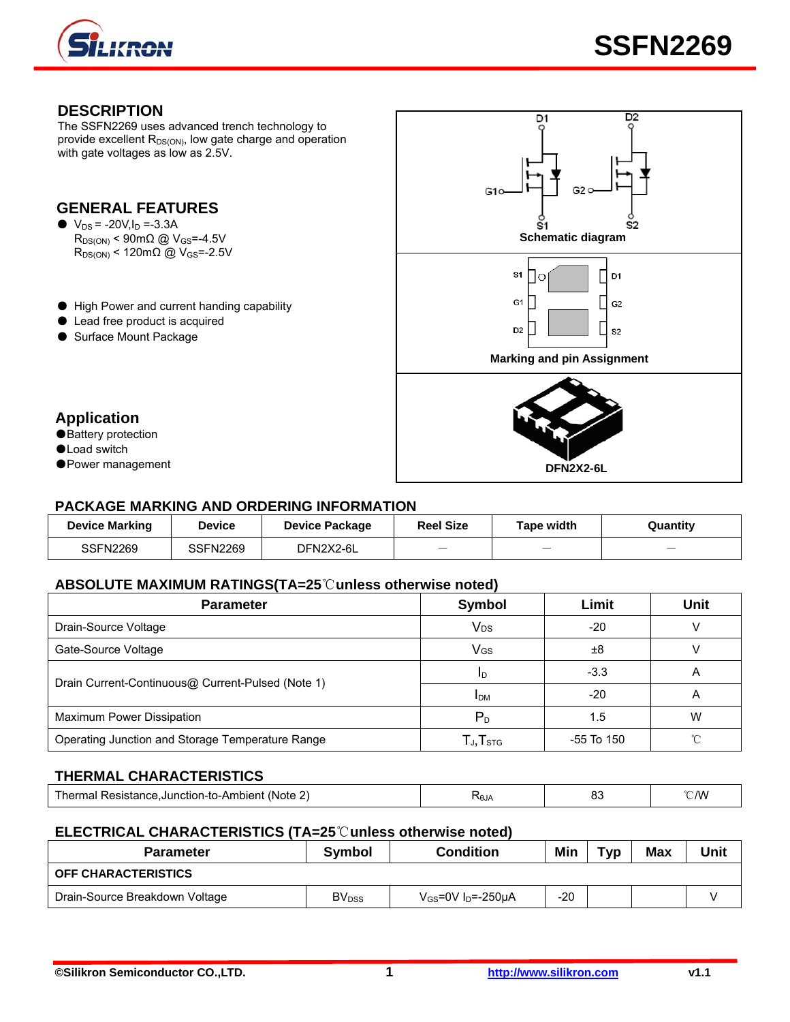

### **DESCRIPTION**

The SSFN2269 uses advanced trench technology to provide excellent  $R_{DS(ON)}$ , low gate charge and operation with gate voltages as low as 2.5V.

## **GENERAL FEATURES**

 $\bullet\ \text{V}_{\text{DS}} = -20 \text{V}, \text{I}_{\text{D}} = -3.3 \text{A}$  $R_{DS(ON)}$  < 120mΩ @ V<sub>GS</sub>=-2.5V

- High Power and current handing capability
- Lead free product is acquired
- Surface Mount Package



- **Application**
- Battery protection
- ●Load switch
- 

## **PACKAGE MARKING AND ORDERING INFORMATION**

| <b>Device Marking</b> | Device   | <b>Device Package</b> | <b>Reel Size</b>         | Tape width | Quantity                 |
|-----------------------|----------|-----------------------|--------------------------|------------|--------------------------|
| SSFN2269              | SSFN2269 | DFN2X2-6L             | $\overline{\phantom{0}}$ |            | $\overline{\phantom{a}}$ |

#### **ABSOLUTE MAXIMUM RATINGS(TA=25**℃**unless otherwise noted)**

| <b>Parameter</b>                                  | Symbol                                                | Limit      | <b>Unit</b> |  |
|---------------------------------------------------|-------------------------------------------------------|------------|-------------|--|
| Drain-Source Voltage                              | <b>V<sub>DS</sub></b>                                 | $-20$      |             |  |
| Gate-Source Voltage                               | VGS                                                   | ±8         |             |  |
| Drain Current-Continuous@ Current-Pulsed (Note 1) | ID                                                    | $-3.3$     | A           |  |
|                                                   | <b>IDM</b>                                            | $-20$      | A           |  |
| Maximum Power Dissipation                         | $P_{D}$                                               | 1.5        | W           |  |
| Operating Junction and Storage Temperature Range  | ${\mathsf T}_{\mathsf J}, {\mathsf T}_{\textsf{STG}}$ | -55 To 150 |             |  |

#### **THERMAL CHARACTERISTICS**

| -----<br>------<br><b>mbient</b><br>- Note -<br>.Junction-to-A <i>r</i> | ₹θJ∤ | $\sim$<br>ပပ | °C/W |
|-------------------------------------------------------------------------|------|--------------|------|
|                                                                         |      |              |      |

#### **ELECTRICAL CHARACTERISTICS (TA=25**℃**unless otherwise noted)**

| <b>Parameter</b>               | Symbol                   | <b>Condition</b>                    | Min   | Typ | <b>Max</b> | Unit |
|--------------------------------|--------------------------|-------------------------------------|-------|-----|------------|------|
| <b>OFF CHARACTERISTICS</b>     |                          |                                     |       |     |            |      |
| Drain-Source Breakdown Voltage | <b>BV</b> <sub>DSS</sub> | $V_{GS}$ =0V I <sub>D</sub> =-250µA | $-20$ |     |            |      |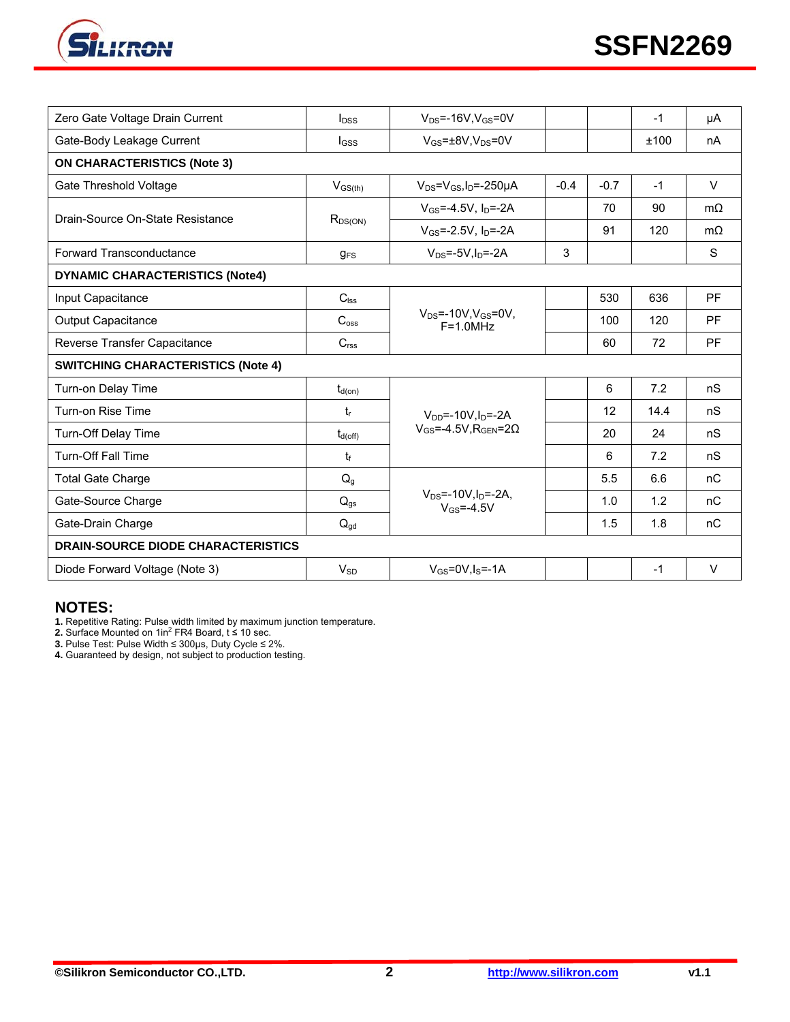

| Zero Gate Voltage Drain Current           | $I_{\text{DSS}}$ | $V_{DS}$ =-16V.V $_{GS}$ =0V                            |        |        | $-1$ | μA        |  |
|-------------------------------------------|------------------|---------------------------------------------------------|--------|--------|------|-----------|--|
| Gate-Body Leakage Current                 | l <sub>GSS</sub> | $V_{GS}$ = $\pm$ 8V, V <sub>DS</sub> =0V                |        |        | ±100 | nA        |  |
| <b>ON CHARACTERISTICS (Note 3)</b>        |                  |                                                         |        |        |      |           |  |
| Gate Threshold Voltage                    | $V_{GS(th)}$     | $V_{DS} = V_{GS}I_D = -250 \mu A$                       | $-0.4$ | $-0.7$ | $-1$ | $\vee$    |  |
| Drain-Source On-State Resistance          | $R_{DS(ON)}$     | $V_{GS} = -4.5V$ , $I_D = -2A$                          |        | 70     | 90   | $m\Omega$ |  |
|                                           |                  | $V_{GS} = -2.5V$ , $I_D = -2A$                          |        | 91     | 120  | $m\Omega$ |  |
| Forward Transconductance                  | $g_{FS}$         | $V_{DS} = -5V$ , $I_D = -2A$                            | 3      |        |      | S         |  |
| <b>DYNAMIC CHARACTERISTICS (Note4)</b>    |                  |                                                         |        |        |      |           |  |
| Input Capacitance                         | $C_{\text{lss}}$ |                                                         |        | 530    | 636  | <b>PF</b> |  |
| <b>Output Capacitance</b>                 | $C_{\rm oss}$    | $V_{DS}$ =-10V, $V_{GS}$ =0V,<br>$F = 1.0 MHz$          |        | 100    | 120  | <b>PF</b> |  |
| Reverse Transfer Capacitance              | C <sub>rss</sub> |                                                         |        | 60     | 72   | <b>PF</b> |  |
| <b>SWITCHING CHARACTERISTICS (Note 4)</b> |                  |                                                         |        |        |      |           |  |
| Turn-on Delay Time                        | $t_{d(on)}$      |                                                         |        | 6      | 7.2  | nS        |  |
| Turn-on Rise Time                         | $t_{r}$          | $V_{DD} = -10V_{\text{SD}} = -2A$                       |        | 12     | 14.4 | nS        |  |
| Turn-Off Delay Time                       | $t_{d(off)}$     | $V_{GS}$ =-4.5V, R <sub>GEN</sub> =20                   |        | 20     | 24   | nS        |  |
| <b>Turn-Off Fall Time</b>                 | $t_{\rm f}$      |                                                         |        | 6      | 7.2  | nS        |  |
| <b>Total Gate Charge</b>                  | $Q_q$            |                                                         |        | 5.5    | 6.6  | nC        |  |
| Gate-Source Charge                        | $Q_{gs}$         | $V_{DS}$ =-10V, $I_D$ =-2A,<br>$V$ <sub>GS</sub> =-4.5V |        | 1.0    | 1.2  | nC        |  |
| Gate-Drain Charge                         | $Q_{qd}$         |                                                         |        | 1.5    | 1.8  | nC        |  |
| <b>DRAIN-SOURCE DIODE CHARACTERISTICS</b> |                  |                                                         |        |        |      |           |  |
| Diode Forward Voltage (Note 3)            | $V_{SD}$         | $V_{GS} = 0V$ . $I_S = -1A$                             |        |        | $-1$ | $\vee$    |  |

#### **NOTES:**

**1.** Repetitive Rating: Pulse width limited by maximum junction temperature.<br>**2.** Surface Mounted on 1in<sup>2</sup> FR4 Board, t ≤ 10 sec.

**3.** Pulse Test: Pulse Width ≤ 300μs, Duty Cycle ≤ 2%.

**4.** Guaranteed by design, not subject to production testing.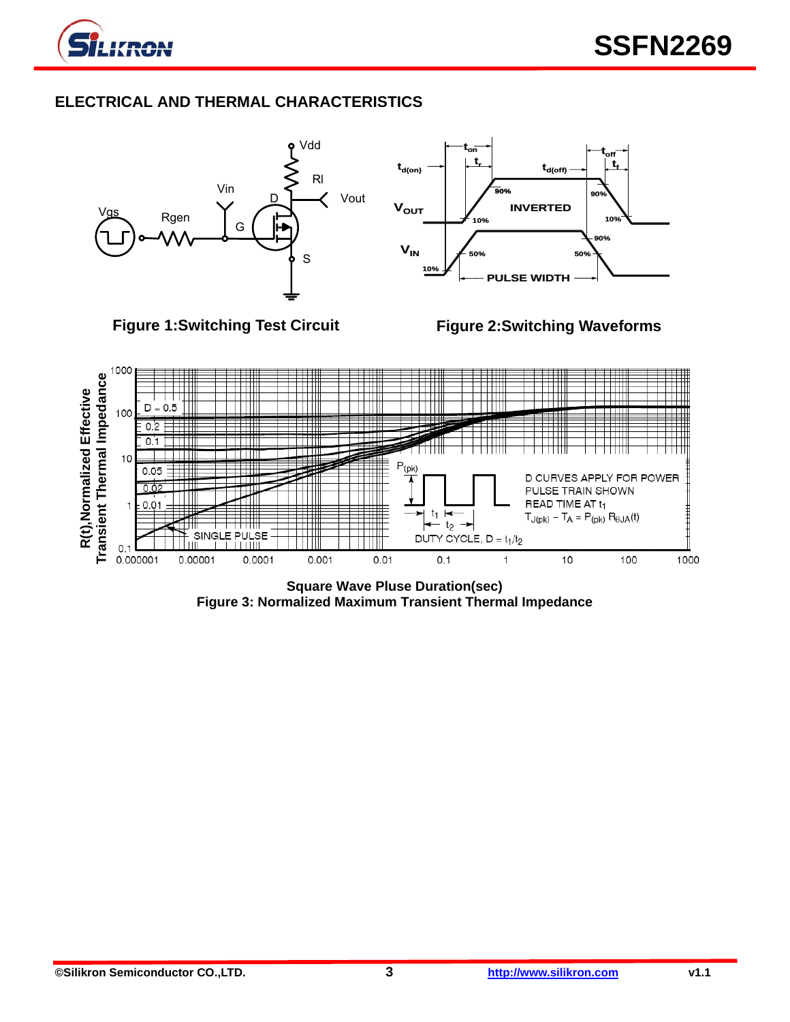

# **ELECTRICAL AND THERMAL CHARACTERISTICS**



**Figure 3: Normalized Maximum Transient Thermal Impedance**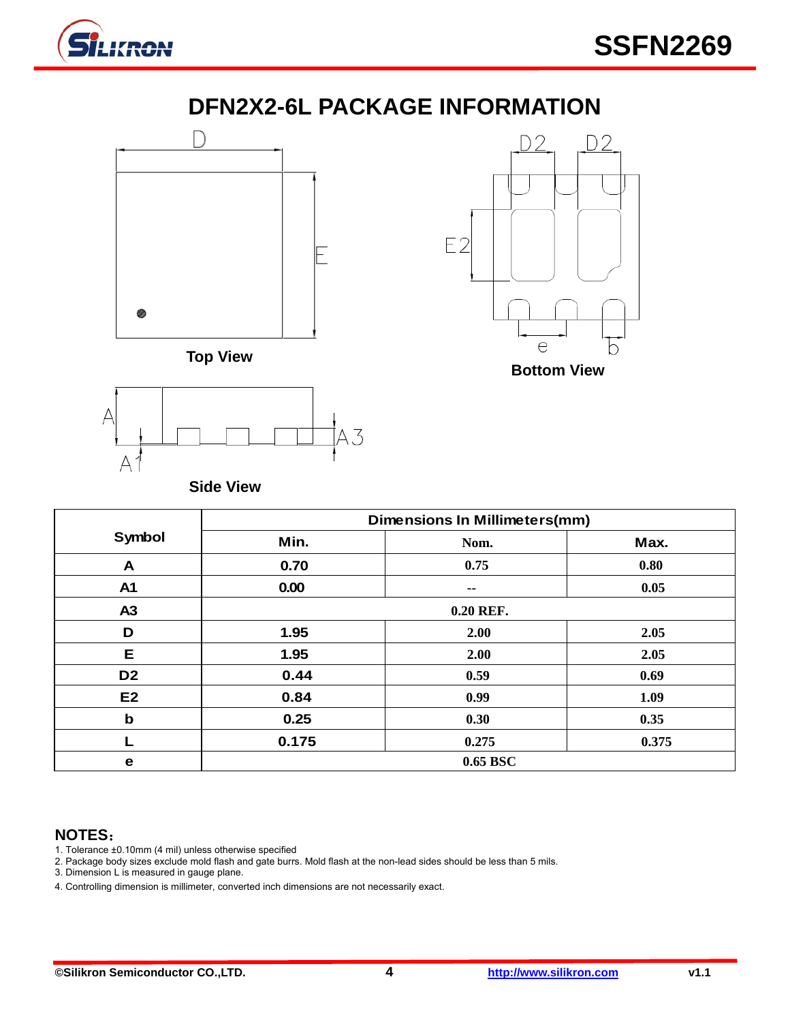

# **DFN2X2-6L PACKAGE INFORMATION**







**Side View** 

|                | <b>Dimensions In Millimeters(mm)</b> |       |       |  |  |
|----------------|--------------------------------------|-------|-------|--|--|
| Symbol         | Min.                                 | Nom.  | Max.  |  |  |
| A              | 0.70                                 | 0.75  | 0.80  |  |  |
| A1             | 0.00                                 | --    | 0.05  |  |  |
| A <sub>3</sub> | 0.20 REF.                            |       |       |  |  |
| D              | 1.95                                 | 2.00  | 2.05  |  |  |
| Е              | 1.95                                 | 2.00  | 2.05  |  |  |
| D <sub>2</sub> | 0.44                                 | 0.59  | 0.69  |  |  |
| E <sub>2</sub> | 0.84                                 | 0.99  | 1.09  |  |  |
| $\mathbf b$    | 0.25                                 | 0.30  | 0.35  |  |  |
|                | 0.175                                | 0.275 | 0.375 |  |  |
| е              | 0.65 BSC                             |       |       |  |  |

### **NOTES**:

- 1. Tolerance ±0.10mm (4 mil) unless otherwise specified
- 2. Package body sizes exclude mold flash and gate burrs. Mold flash at the non-lead sides should be less than 5 mils.
- 3. Dimension L is measured in gauge plane.
- 4. Controlling dimension is millimeter, converted inch dimensions are not necessarily exact.